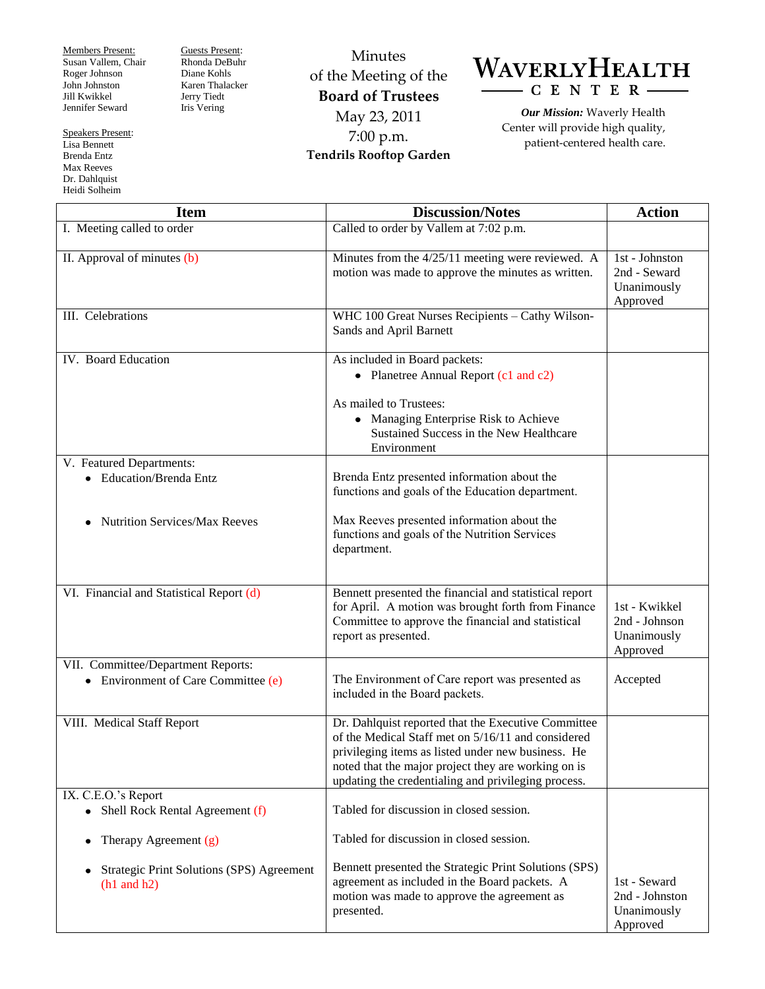Members Present: Susan Vallem, Chair Roger Johnson John Johnston Jill Kwikkel Jennifer Seward

Guests Present: Rhonda DeBuhr Diane Kohls Karen Thalacker Jerry Tiedt Iris Vering

Minutes of the Meeting of the **Board of Trustees** May 23, 2011 7:00 p.m. **Tendrils Rooftop Garden**

WAVERLYHEALTH  $-C E N T E R -$ 

> *Our Mission:* Waverly Health Center will provide high quality, patient-centered health care.

| <b>Item</b>                                                                | <b>Discussion/Notes</b>                                                                                                                                                                                                                                                       | <b>Action</b>                                             |
|----------------------------------------------------------------------------|-------------------------------------------------------------------------------------------------------------------------------------------------------------------------------------------------------------------------------------------------------------------------------|-----------------------------------------------------------|
| I. Meeting called to order                                                 | Called to order by Vallem at 7:02 p.m.                                                                                                                                                                                                                                        |                                                           |
| II. Approval of minutes (b)                                                | Minutes from the 4/25/11 meeting were reviewed. A<br>motion was made to approve the minutes as written.                                                                                                                                                                       | 1st - Johnston<br>2nd - Seward<br>Unanimously<br>Approved |
| III. Celebrations                                                          | WHC 100 Great Nurses Recipients - Cathy Wilson-<br>Sands and April Barnett                                                                                                                                                                                                    |                                                           |
| IV. Board Education                                                        | As included in Board packets:<br>• Planetree Annual Report (c1 and c2)                                                                                                                                                                                                        |                                                           |
|                                                                            | As mailed to Trustees:<br>• Managing Enterprise Risk to Achieve<br>Sustained Success in the New Healthcare<br>Environment                                                                                                                                                     |                                                           |
| V. Featured Departments:                                                   |                                                                                                                                                                                                                                                                               |                                                           |
| • Education/Brenda Entz                                                    | Brenda Entz presented information about the<br>functions and goals of the Education department.                                                                                                                                                                               |                                                           |
| <b>Nutrition Services/Max Reeves</b>                                       | Max Reeves presented information about the<br>functions and goals of the Nutrition Services<br>department.                                                                                                                                                                    |                                                           |
| VI. Financial and Statistical Report (d)                                   | Bennett presented the financial and statistical report<br>for April. A motion was brought forth from Finance<br>Committee to approve the financial and statistical<br>report as presented.                                                                                    | 1st - Kwikkel<br>2nd - Johnson<br>Unanimously<br>Approved |
| VII. Committee/Department Reports:<br>• Environment of Care Committee (e)  | The Environment of Care report was presented as<br>included in the Board packets.                                                                                                                                                                                             | Accepted                                                  |
| VIII. Medical Staff Report                                                 | Dr. Dahlquist reported that the Executive Committee<br>of the Medical Staff met on 5/16/11 and considered<br>privileging items as listed under new business. He<br>noted that the major project they are working on is<br>updating the credentialing and privileging process. |                                                           |
| IX. C.E.O.'s Report                                                        |                                                                                                                                                                                                                                                                               |                                                           |
| • Shell Rock Rental Agreement (f)                                          | Tabled for discussion in closed session.                                                                                                                                                                                                                                      |                                                           |
| Therapy Agreement (g)<br>$\bullet$                                         | Tabled for discussion in closed session.                                                                                                                                                                                                                                      |                                                           |
| <b>Strategic Print Solutions (SPS) Agreement</b><br>$(h1 \text{ and } h2)$ | Bennett presented the Strategic Print Solutions (SPS)<br>agreement as included in the Board packets. A<br>motion was made to approve the agreement as<br>presented.                                                                                                           | 1st - Seward<br>2nd - Johnston<br>Unanimously<br>Approved |

Speakers Present: Lisa Bennett

Brenda Entz Max Reeves Dr. Dahlquist Heidi Solheim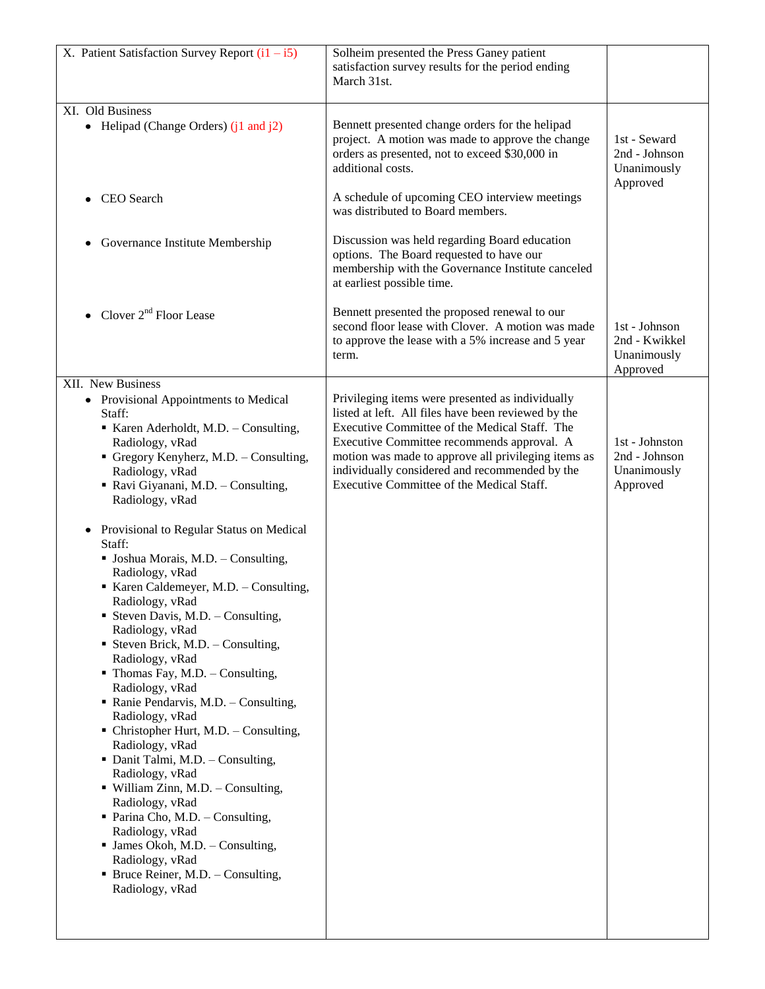| X. Patient Satisfaction Survey Report $(i1 - i5)$                                                                                                                                                                                                                                                                                                                                                                                                                                                                                                                                                                                                                                                                                                                                                | Solheim presented the Press Ganey patient<br>satisfaction survey results for the period ending<br>March 31st.                                                                                                                                                                                            |                                                            |
|--------------------------------------------------------------------------------------------------------------------------------------------------------------------------------------------------------------------------------------------------------------------------------------------------------------------------------------------------------------------------------------------------------------------------------------------------------------------------------------------------------------------------------------------------------------------------------------------------------------------------------------------------------------------------------------------------------------------------------------------------------------------------------------------------|----------------------------------------------------------------------------------------------------------------------------------------------------------------------------------------------------------------------------------------------------------------------------------------------------------|------------------------------------------------------------|
| XI. Old Business<br>• Helipad (Change Orders) $(i1 \text{ and } i2)$                                                                                                                                                                                                                                                                                                                                                                                                                                                                                                                                                                                                                                                                                                                             | Bennett presented change orders for the helipad<br>project. A motion was made to approve the change<br>orders as presented, not to exceed \$30,000 in<br>additional costs.                                                                                                                               | 1st - Seward<br>2nd - Johnson<br>Unanimously<br>Approved   |
| CEO Search                                                                                                                                                                                                                                                                                                                                                                                                                                                                                                                                                                                                                                                                                                                                                                                       | A schedule of upcoming CEO interview meetings<br>was distributed to Board members.                                                                                                                                                                                                                       |                                                            |
| Governance Institute Membership                                                                                                                                                                                                                                                                                                                                                                                                                                                                                                                                                                                                                                                                                                                                                                  | Discussion was held regarding Board education<br>options. The Board requested to have our<br>membership with the Governance Institute canceled<br>at earliest possible time.                                                                                                                             |                                                            |
| Clover $2nd$ Floor Lease                                                                                                                                                                                                                                                                                                                                                                                                                                                                                                                                                                                                                                                                                                                                                                         | Bennett presented the proposed renewal to our<br>second floor lease with Clover. A motion was made<br>to approve the lease with a 5% increase and 5 year<br>term.                                                                                                                                        | 1st - Johnson<br>2nd - Kwikkel<br>Unanimously<br>Approved  |
| XII. New Business<br>• Provisional Appointments to Medical                                                                                                                                                                                                                                                                                                                                                                                                                                                                                                                                                                                                                                                                                                                                       | Privileging items were presented as individually                                                                                                                                                                                                                                                         |                                                            |
| Staff:<br>Karen Aderholdt, M.D. - Consulting,<br>Radiology, vRad<br>Gregory Kenyherz, M.D. - Consulting,<br>Radiology, vRad<br>Ravi Giyanani, M.D. - Consulting,<br>Radiology, vRad                                                                                                                                                                                                                                                                                                                                                                                                                                                                                                                                                                                                              | listed at left. All files have been reviewed by the<br>Executive Committee of the Medical Staff. The<br>Executive Committee recommends approval. A<br>motion was made to approve all privileging items as<br>individually considered and recommended by the<br>Executive Committee of the Medical Staff. | 1st - Johnston<br>2nd - Johnson<br>Unanimously<br>Approved |
| Provisional to Regular Status on Medical<br>$\bullet$<br>Staff:<br>• Joshua Morais, M.D. - Consulting,<br>Radiology, vRad<br>Karen Caldemeyer, M.D. - Consulting,<br>Radiology, vRad<br><b>Steven Davis, M.D.</b> - Consulting,<br>Radiology, vRad<br>• Steven Brick, M.D. - Consulting,<br>Radiology, vRad<br>• Thomas Fay, M.D. - Consulting,<br>Radiology, vRad<br>• Ranie Pendarvis, M.D. - Consulting,<br>Radiology, vRad<br>• Christopher Hurt, M.D. - Consulting,<br>Radiology, vRad<br>• Danit Talmi, M.D. - Consulting,<br>Radiology, vRad<br>• William Zinn, M.D. - Consulting,<br>Radiology, vRad<br>• Parina Cho, M.D. – Consulting,<br>Radiology, vRad<br>$\blacksquare$ James Okoh, M.D. - Consulting,<br>Radiology, vRad<br>• Bruce Reiner, M.D. – Consulting,<br>Radiology, vRad |                                                                                                                                                                                                                                                                                                          |                                                            |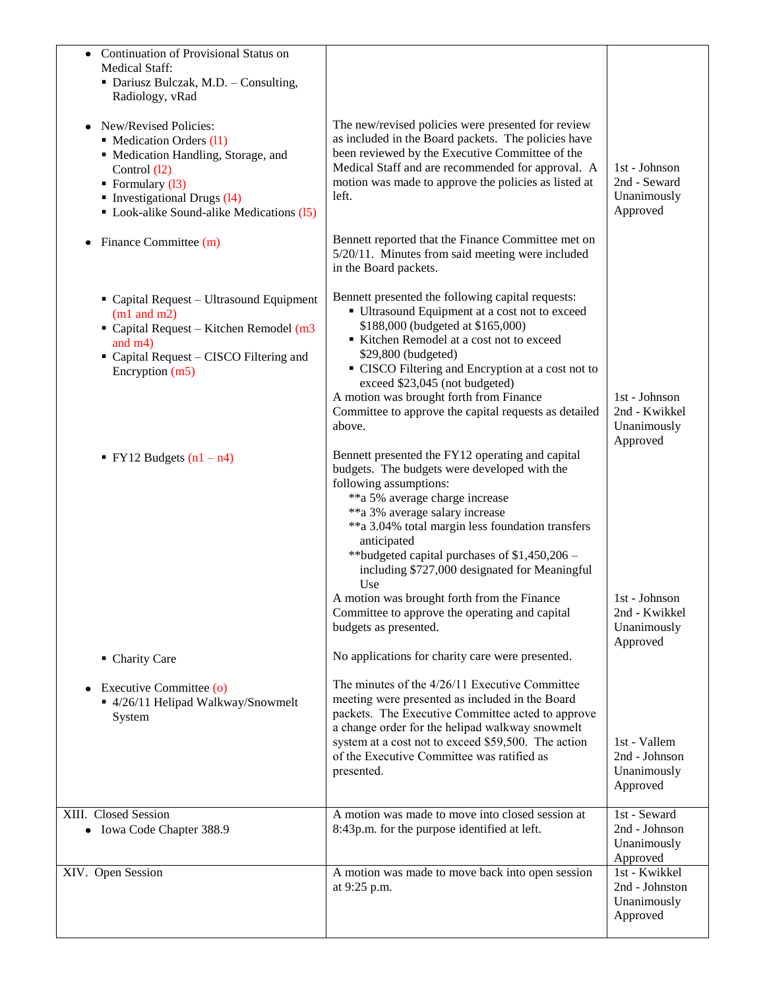| Continuation of Provisional Status on<br>$\bullet$<br><b>Medical Staff:</b><br>• Dariusz Bulczak, M.D. - Consulting,<br>Radiology, vRad<br>New/Revised Policies:<br>• Medication Orders (11)<br>• Medication Handling, Storage, and<br>Control (12)<br>• Formulary $(13)$<br>$\blacksquare$ Investigational Drugs (14)<br>• Look-alike Sound-alike Medications (15)<br>Finance Committee (m)<br>٠ | The new/revised policies were presented for review<br>as included in the Board packets. The policies have<br>been reviewed by the Executive Committee of the<br>Medical Staff and are recommended for approval. A<br>motion was made to approve the policies as listed at<br>left.<br>Bennett reported that the Finance Committee met on<br>5/20/11. Minutes from said meeting were included<br>in the Board packets.                                                                                 | 1st - Johnson<br>2nd - Seward<br>Unanimously<br>Approved   |
|---------------------------------------------------------------------------------------------------------------------------------------------------------------------------------------------------------------------------------------------------------------------------------------------------------------------------------------------------------------------------------------------------|-------------------------------------------------------------------------------------------------------------------------------------------------------------------------------------------------------------------------------------------------------------------------------------------------------------------------------------------------------------------------------------------------------------------------------------------------------------------------------------------------------|------------------------------------------------------------|
| • Capital Request - Ultrasound Equipment<br>$(m1$ and $m2)$<br>$\blacksquare$ Capital Request – Kitchen Remodel (m3<br>and $m4)$<br>Capital Request - CISCO Filtering and<br>Encryption (m5)                                                                                                                                                                                                      | Bennett presented the following capital requests:<br>• Ultrasound Equipment at a cost not to exceed<br>\$188,000 (budgeted at \$165,000)<br>Kitchen Remodel at a cost not to exceed<br>\$29,800 (budgeted)<br>• CISCO Filtering and Encryption at a cost not to<br>exceed \$23,045 (not budgeted)<br>A motion was brought forth from Finance<br>Committee to approve the capital requests as detailed<br>above.                                                                                       | 1st - Johnson<br>2nd - Kwikkel<br>Unanimously<br>Approved  |
| <b>•</b> FY12 Budgets $(n1 - n4)$                                                                                                                                                                                                                                                                                                                                                                 | Bennett presented the FY12 operating and capital<br>budgets. The budgets were developed with the<br>following assumptions:<br>**a 5% average charge increase<br>**a 3% average salary increase<br>**a 3.04% total margin less foundation transfers<br>anticipated<br>**budgeted capital purchases of $$1,450,206$ -<br>including \$727,000 designated for Meaningful<br>Use<br>A motion was brought forth from the Finance<br>Committee to approve the operating and capital<br>budgets as presented. | 1st - Johnson<br>2nd - Kwikkel<br>Unanimously<br>Approved  |
| • Charity Care<br>Executive Committee (o)<br>■ 4/26/11 Helipad Walkway/Snowmelt<br>System                                                                                                                                                                                                                                                                                                         | No applications for charity care were presented.<br>The minutes of the 4/26/11 Executive Committee<br>meeting were presented as included in the Board<br>packets. The Executive Committee acted to approve<br>a change order for the helipad walkway snowmelt<br>system at a cost not to exceed \$59,500. The action<br>of the Executive Committee was ratified as<br>presented.                                                                                                                      | 1st - Vallem<br>2nd - Johnson<br>Unanimously<br>Approved   |
| XIII. Closed Session<br>• Iowa Code Chapter 388.9                                                                                                                                                                                                                                                                                                                                                 | A motion was made to move into closed session at<br>8:43p.m. for the purpose identified at left.                                                                                                                                                                                                                                                                                                                                                                                                      | 1st - Seward<br>2nd - Johnson<br>Unanimously<br>Approved   |
| XIV. Open Session                                                                                                                                                                                                                                                                                                                                                                                 | A motion was made to move back into open session<br>at 9:25 p.m.                                                                                                                                                                                                                                                                                                                                                                                                                                      | 1st - Kwikkel<br>2nd - Johnston<br>Unanimously<br>Approved |